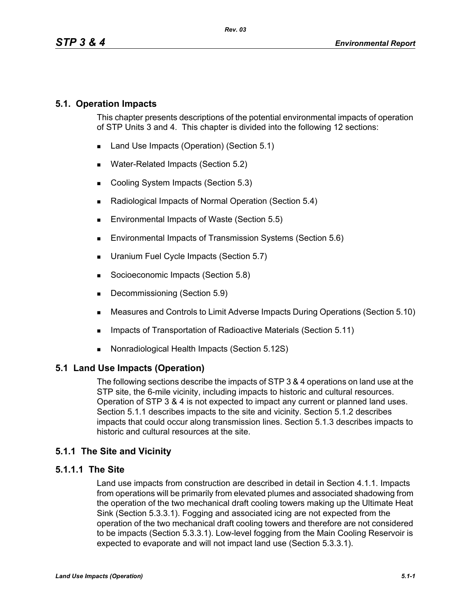## **5.1. Operation Impacts**

This chapter presents descriptions of the potential environmental impacts of operation of STP Units 3 and 4. This chapter is divided into the following 12 sections:

- Land Use Impacts (Operation) (Section 5.1)
- **Water-Related Impacts (Section 5.2)**
- Cooling System Impacts (Section 5.3)
- Radiological Impacts of Normal Operation (Section 5.4)
- **Environmental Impacts of Waste (Section 5.5)**
- **Environmental Impacts of Transmission Systems (Section 5.6)**
- **Uranium Fuel Cycle Impacts (Section 5.7)**
- Socioeconomic Impacts (Section 5.8)
- Decommissioning (Section 5.9)
- Measures and Controls to Limit Adverse Impacts During Operations (Section 5.10)
- **IMPACTER 15 Impacts of Transportation of Radioactive Materials (Section 5.11)**
- Nonradiological Health Impacts (Section 5.12S)

### **5.1 Land Use Impacts (Operation)**

The following sections describe the impacts of STP 3 & 4 operations on land use at the STP site, the 6-mile vicinity, including impacts to historic and cultural resources. Operation of STP 3 & 4 is not expected to impact any current or planned land uses. Section 5.1.1 describes impacts to the site and vicinity. Section 5.1.2 describes impacts that could occur along transmission lines. Section 5.1.3 describes impacts to historic and cultural resources at the site.

# **5.1.1 The Site and Vicinity**

### **5.1.1.1 The Site**

Land use impacts from construction are described in detail in Section 4.1.1. Impacts from operations will be primarily from elevated plumes and associated shadowing from the operation of the two mechanical draft cooling towers making up the Ultimate Heat Sink (Section 5.3.3.1). Fogging and associated icing are not expected from the operation of the two mechanical draft cooling towers and therefore are not considered to be impacts (Section 5.3.3.1). Low-level fogging from the Main Cooling Reservoir is expected to evaporate and will not impact land use (Section 5.3.3.1).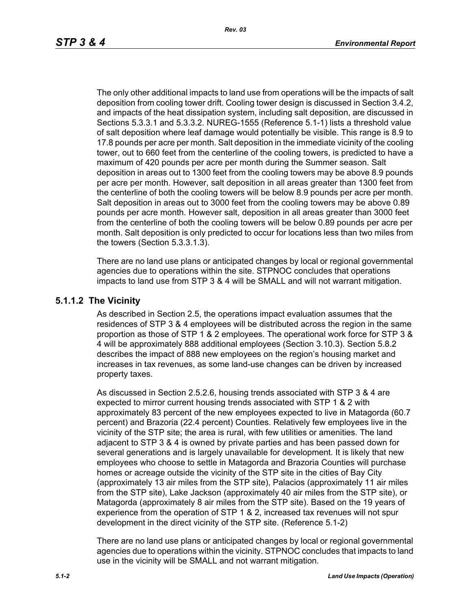The only other additional impacts to land use from operations will be the impacts of salt deposition from cooling tower drift. Cooling tower design is discussed in Section 3.4.2, and impacts of the heat dissipation system, including salt deposition, are discussed in Sections 5.3.3.1 and 5.3.3.2. NUREG-1555 (Reference 5.1-1) lists a threshold value of salt deposition where leaf damage would potentially be visible. This range is 8.9 to 17.8 pounds per acre per month. Salt deposition in the immediate vicinity of the cooling tower, out to 660 feet from the centerline of the cooling towers, is predicted to have a maximum of 420 pounds per acre per month during the Summer season. Salt deposition in areas out to 1300 feet from the cooling towers may be above 8.9 pounds per acre per month. However, salt deposition in all areas greater than 1300 feet from the centerline of both the cooling towers will be below 8.9 pounds per acre per month. Salt deposition in areas out to 3000 feet from the cooling towers may be above 0.89 pounds per acre month. However salt, deposition in all areas greater than 3000 feet from the centerline of both the cooling towers will be below 0.89 pounds per acre per month. Salt deposition is only predicted to occur for locations less than two miles from the towers (Section 5.3.3.1.3).

There are no land use plans or anticipated changes by local or regional governmental agencies due to operations within the site. STPNOC concludes that operations impacts to land use from STP 3 & 4 will be SMALL and will not warrant mitigation.

#### **5.1.1.2 The Vicinity**

As described in Section 2.5, the operations impact evaluation assumes that the residences of STP 3 & 4 employees will be distributed across the region in the same proportion as those of STP 1 & 2 employees. The operational work force for STP 3 & 4 will be approximately 888 additional employees (Section 3.10.3). Section 5.8.2 describes the impact of 888 new employees on the region's housing market and increases in tax revenues, as some land-use changes can be driven by increased property taxes.

As discussed in Section 2.5.2.6, housing trends associated with STP 3 & 4 are expected to mirror current housing trends associated with STP 1 & 2 with approximately 83 percent of the new employees expected to live in Matagorda (60.7 percent) and Brazoria (22.4 percent) Counties. Relatively few employees live in the vicinity of the STP site; the area is rural, with few utilities or amenities. The land adjacent to STP 3 & 4 is owned by private parties and has been passed down for several generations and is largely unavailable for development. It is likely that new employees who choose to settle in Matagorda and Brazoria Counties will purchase homes or acreage outside the vicinity of the STP site in the cities of Bay City (approximately 13 air miles from the STP site), Palacios (approximately 11 air miles from the STP site), Lake Jackson (approximately 40 air miles from the STP site), or Matagorda (approximately 8 air miles from the STP site). Based on the 19 years of experience from the operation of STP 1 & 2, increased tax revenues will not spur development in the direct vicinity of the STP site. (Reference 5.1-2)

There are no land use plans or anticipated changes by local or regional governmental agencies due to operations within the vicinity. STPNOC concludes that impacts to land use in the vicinity will be SMALL and not warrant mitigation.